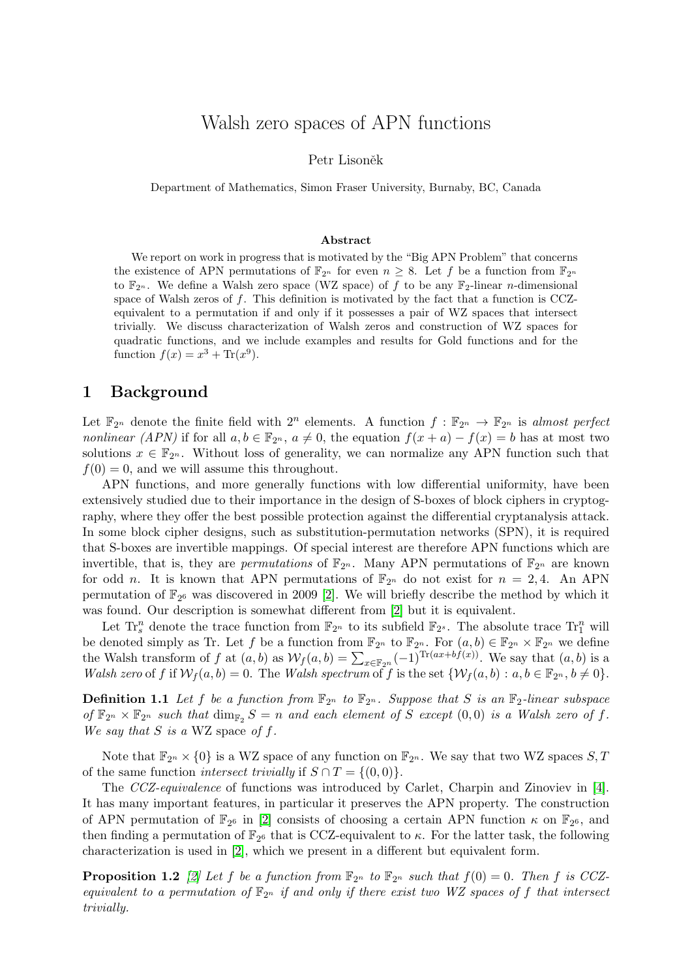# Walsh zero spaces of APN functions

Petr Lisoněk

Department of Mathematics, Simon Fraser University, Burnaby, BC, Canada

#### Abstract

We report on work in progress that is motivated by the "Big APN Problem" that concerns the existence of APN permutations of  $\mathbb{F}_{2^n}$  for even  $n \geq 8$ . Let f be a function from  $\mathbb{F}_{2^n}$ to  $\mathbb{F}_{2^n}$ . We define a Walsh zero space (WZ space) of f to be any  $\mathbb{F}_2$ -linear n-dimensional space of Walsh zeros of f. This definition is motivated by the fact that a function is CCZequivalent to a permutation if and only if it possesses a pair of WZ spaces that intersect trivially. We discuss characterization of Walsh zeros and construction of WZ spaces for quadratic functions, and we include examples and results for Gold functions and for the function  $f(x) = x^3 + \text{Tr}(x^9)$ .

### 1 Background

Let  $\mathbb{F}_{2^n}$  denote the finite field with  $2^n$  elements. A function  $f : \mathbb{F}_{2^n} \to \mathbb{F}_{2^n}$  is almost perfect *nonlinear* (APN) if for all  $a, b \in \mathbb{F}_{2^n}$ ,  $a \neq 0$ , the equation  $f(x + a) - f(x) = b$  has at most two solutions  $x \in \mathbb{F}_{2^n}$ . Without loss of generality, we can normalize any APN function such that  $f(0) = 0$ , and we will assume this throughout.

APN functions, and more generally functions with low differential uniformity, have been extensively studied due to their importance in the design of S-boxes of block ciphers in cryptography, where they offer the best possible protection against the differential cryptanalysis attack. In some block cipher designs, such as substitution-permutation networks (SPN), it is required that S-boxes are invertible mappings. Of special interest are therefore APN functions which are invertible, that is, they are *permutations* of  $\mathbb{F}_{2^n}$ . Many APN permutations of  $\mathbb{F}_{2^n}$  are known for odd n. It is known that APN permutations of  $\mathbb{F}_{2^n}$  do not exist for  $n = 2, 4$ . An APN permutation of  $\mathbb{F}_{2^6}$  was discovered in 2009 [\[2\]](#page-2-0). We will briefly describe the method by which it was found. Our description is somewhat different from [\[2\]](#page-2-0) but it is equivalent.

Let  $\text{Tr}^n_s$  denote the trace function from  $\mathbb{F}_{2^n}$  to its subfield  $\mathbb{F}_{2^s}$ . The absolute trace  $\text{Tr}^n_1$  will be denoted simply as Tr. Let f be a function from  $\mathbb{F}_{2^n}$  to  $\mathbb{F}_{2^n}$ . For  $(a, b) \in \mathbb{F}_{2^n} \times \mathbb{F}_{2^n}$  we define the Walsh transform of f at  $(a, b)$  as  $\mathcal{W}_f(a, b) = \sum_{x \in \mathbb{F}_{2^n}} (-1)^{\text{Tr}(ax + bf(x))}$ . We say that  $(a, b)$  is a Walsh zero of f if  $\mathcal{W}_f(a, b) = 0$ . The Walsh spectrum of f is the set  $\{\mathcal{W}_f(a, b) : a, b \in \mathbb{F}_{2^n}, b \neq 0\}$ .

**Definition 1.1** Let f be a function from  $\mathbb{F}_{2^n}$  to  $\mathbb{F}_{2^n}$ . Suppose that S is an  $\mathbb{F}_2$ -linear subspace of  $\mathbb{F}_{2^n} \times \mathbb{F}_{2^n}$  such that  $\dim_{\mathbb{F}_2} S = n$  and each element of S except  $(0,0)$  is a Walsh zero of f. We say that  $S$  is a WZ space of  $f$ .

Note that  $\mathbb{F}_{2n} \times \{0\}$  is a WZ space of any function on  $\mathbb{F}_{2n}$ . We say that two WZ spaces S, T of the same function *intersect trivially* if  $S \cap T = \{(0, 0)\}.$ 

The CCZ-equivalence of functions was introduced by Carlet, Charpin and Zinoviev in [\[4\]](#page-2-1). It has many important features, in particular it preserves the APN property. The construction of APN permutation of  $\mathbb{F}_{2^6}$  in [\[2\]](#page-2-0) consists of choosing a certain APN function  $\kappa$  on  $\mathbb{F}_{2^6}$ , and then finding a permutation of  $\mathbb{F}_{2^6}$  that is CCZ-equivalent to  $\kappa$ . For the latter task, the following characterization is used in [\[2\]](#page-2-0), which we present in a different but equivalent form.

<span id="page-0-0"></span>**Proposition 1.2** [\[2\]](#page-2-0) Let f be a function from  $\mathbb{F}_{2^n}$  to  $\mathbb{F}_{2^n}$  such that  $f(0) = 0$ . Then f is CCZequivalent to a permutation of  $\mathbb{F}_{2^n}$  if and only if there exist two WZ spaces of f that intersect trivially.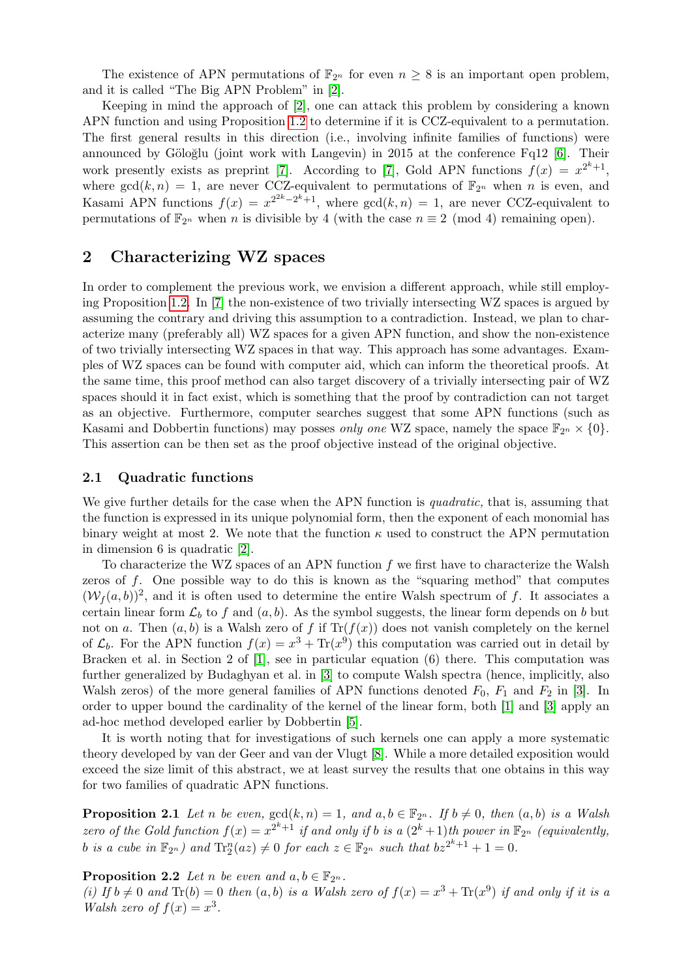The existence of APN permutations of  $\mathbb{F}_{2n}$  for even  $n \geq 8$  is an important open problem, and it is called "The Big APN Problem" in [\[2\]](#page-2-0).

Keeping in mind the approach of [\[2\]](#page-2-0), one can attack this problem by considering a known APN function and using Proposition [1.2](#page-0-0) to determine if it is CCZ-equivalent to a permutation. The first general results in this direction (i.e., involving infinite families of functions) were announced by Göloğlu (joint work with Langevin) in 2015 at the conference Fq12  $[6]$ . Their work presently exists as preprint [\[7\]](#page-3-1). According to [7], Gold APN functions  $f(x) = x^{2^k+1}$ , where  $gcd(k, n) = 1$ , are never CCZ-equivalent to permutations of  $\mathbb{F}_{2^n}$  when n is even, and Kasami APN functions  $f(x) = x^{2^{2k}-2^{k}+1}$ , where  $gcd(k, n) = 1$ , are never CCZ-equivalent to permutations of  $\mathbb{F}_{2^n}$  when n is divisible by 4 (with the case  $n \equiv 2 \pmod{4}$  remaining open).

### 2 Characterizing WZ spaces

In order to complement the previous work, we envision a different approach, while still employing Proposition [1.2.](#page-0-0) In [\[7\]](#page-3-1) the non-existence of two trivially intersecting WZ spaces is argued by assuming the contrary and driving this assumption to a contradiction. Instead, we plan to characterize many (preferably all) WZ spaces for a given APN function, and show the non-existence of two trivially intersecting WZ spaces in that way. This approach has some advantages. Examples of WZ spaces can be found with computer aid, which can inform the theoretical proofs. At the same time, this proof method can also target discovery of a trivially intersecting pair of WZ spaces should it in fact exist, which is something that the proof by contradiction can not target as an objective. Furthermore, computer searches suggest that some APN functions (such as Kasami and Dobbertin functions) may posses only one WZ space, namely the space  $\mathbb{F}_{2^n} \times \{0\}$ . This assertion can be then set as the proof objective instead of the original objective.

#### 2.1 Quadratic functions

We give further details for the case when the APN function is *quadratic*, that is, assuming that the function is expressed in its unique polynomial form, then the exponent of each monomial has binary weight at most 2. We note that the function  $\kappa$  used to construct the APN permutation in dimension 6 is quadratic [\[2\]](#page-2-0).

To characterize the WZ spaces of an APN function  $f$  we first have to characterize the Walsh zeros of f. One possible way to do this is known as the "squaring method" that computes  $(W_f(a, b))^2$ , and it is often used to determine the entire Walsh spectrum of f. It associates a certain linear form  $\mathcal{L}_b$  to f and  $(a, b)$ . As the symbol suggests, the linear form depends on b but not on a. Then  $(a, b)$  is a Walsh zero of f if  $Tr(f(x))$  does not vanish completely on the kernel of  $\mathcal{L}_b$ . For the APN function  $f(x) = x^3 + \text{Tr}(x^9)$  this computation was carried out in detail by Bracken et al. in Section 2 of [\[1\]](#page-2-2), see in particular equation (6) there. This computation was further generalized by Budaghyan et al. in [\[3\]](#page-2-3) to compute Walsh spectra (hence, implicitly, also Walsh zeros) of the more general families of APN functions denoted  $F_0$ ,  $F_1$  and  $F_2$  in [\[3\]](#page-2-3). In order to upper bound the cardinality of the kernel of the linear form, both [\[1\]](#page-2-2) and [\[3\]](#page-2-3) apply an ad-hoc method developed earlier by Dobbertin [\[5\]](#page-3-2).

It is worth noting that for investigations of such kernels one can apply a more systematic theory developed by van der Geer and van der Vlugt [\[8\]](#page-3-3). While a more detailed exposition would exceed the size limit of this abstract, we at least survey the results that one obtains in this way for two families of quadratic APN functions.

<span id="page-1-0"></span>**Proposition 2.1** Let n be even,  $gcd(k, n) = 1$ , and  $a, b \in \mathbb{F}_{2^n}$ . If  $b \neq 0$ , then  $(a, b)$  is a Walsh zero of the Gold function  $f(x) = x^{2^k+1}$  if and only if b is a  $(2^k+1)$ th power in  $\mathbb{F}_{2^n}$  (equivalently, b is a cube in  $\mathbb{F}_{2^n}$ ) and  $\text{Tr}_2^n(az) \neq 0$  for each  $z \in \mathbb{F}_{2^n}$  such that  $bz^{2^k+1} + 1 = 0$ .

<span id="page-1-1"></span>**Proposition 2.2** Let n be even and  $a, b \in \mathbb{F}_{2n}$ .

(i) If  $b \neq 0$  and  $\text{Tr}(b) = 0$  then  $(a, b)$  is a Walsh zero of  $f(x) = x^3 + \text{Tr}(x^9)$  if and only if it is a Walsh zero of  $f(x) = x^3$ .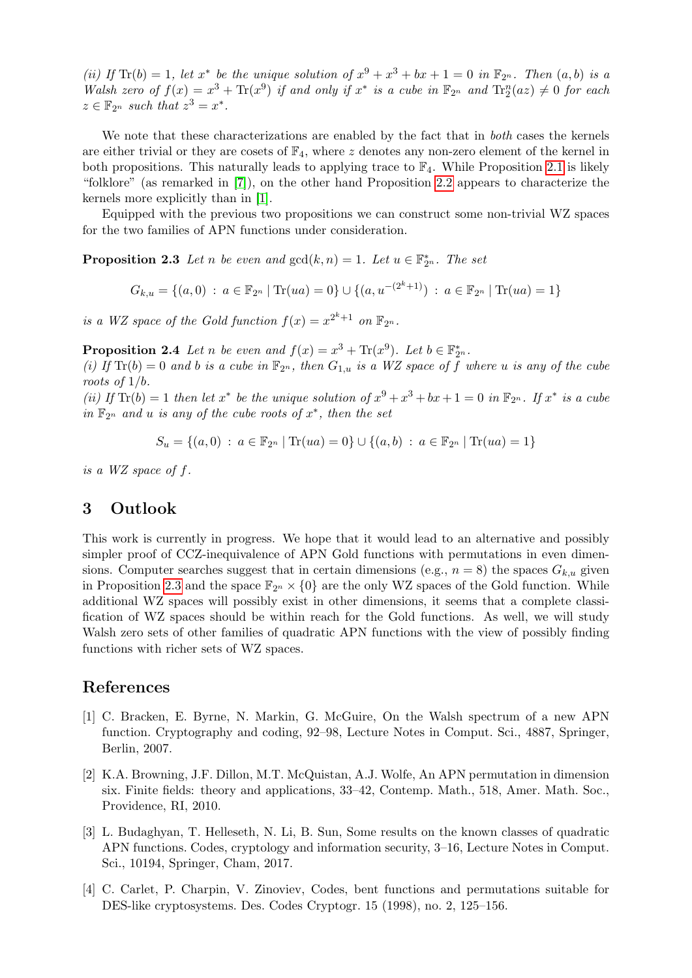(ii) If  $\text{Tr}(b) = 1$ , let  $x^*$  be the unique solution of  $x^9 + x^3 + bx + 1 = 0$  in  $\mathbb{F}_{2^n}$ . Then  $(a, b)$  is a Walsh zero of  $f(x) = x^3 + \text{Tr}(x^9)$  if and only if  $x^*$  is a cube in  $\mathbb{F}_{2^n}$  and  $\text{Tr}_2^n(az) \neq 0$  for each  $z \in \mathbb{F}_{2^n}$  such that  $z^3 = x^*$ .

We note that these characterizations are enabled by the fact that in *both* cases the kernels are either trivial or they are cosets of  $\mathbb{F}_4$ , where z denotes any non-zero element of the kernel in both propositions. This naturally leads to applying trace to  $\mathbb{F}_4$ . While Proposition [2.1](#page-1-0) is likely "folklore" (as remarked in [\[7\]](#page-3-1)), on the other hand Proposition [2.2](#page-1-1) appears to characterize the kernels more explicitly than in [\[1\]](#page-2-2).

Equipped with the previous two propositions we can construct some non-trivial WZ spaces for the two families of APN functions under consideration.

<span id="page-2-4"></span>**Proposition 2.3** Let n be even and  $gcd(k, n) = 1$ . Let  $u \in \mathbb{F}_{2^n}^*$ . The set

$$
G_{k,u} = \{(a,0) : a \in \mathbb{F}_{2^n} \mid \text{Tr}(ua) = 0\} \cup \{(a,u^{-(2^k+1)}) : a \in \mathbb{F}_{2^n} \mid \text{Tr}(ua) = 1\}
$$

is a WZ space of the Gold function  $f(x) = x^{2^k+1}$  on  $\mathbb{F}_{2^n}$ .

**Proposition 2.4** Let *n* be even and  $f(x) = x^3 + \text{Tr}(x^9)$ . Let  $b \in \mathbb{F}_{2^n}^*$ .

(i) If  $\text{Tr}(b) = 0$  and b is a cube in  $\mathbb{F}_{2^n}$ , then  $G_{1,u}$  is a WZ space of f where u is any of the cube roots of 1/b.

(ii) If  $\text{Tr}(b) = 1$  then let  $x^*$  be the unique solution of  $x^9 + x^3 + bx + 1 = 0$  in  $\mathbb{F}_{2^n}$ . If  $x^*$  is a cube in  $\mathbb{F}_{2^n}$  and u is any of the cube roots of  $x^*$ , then the set

$$
S_u = \{(a, 0) : a \in \mathbb{F}_{2^n} \mid \text{Tr}(ua) = 0\} \cup \{(a, b) : a \in \mathbb{F}_{2^n} \mid \text{Tr}(ua) = 1\}
$$

is a WZ space of f.

## 3 Outlook

This work is currently in progress. We hope that it would lead to an alternative and possibly simpler proof of CCZ-inequivalence of APN Gold functions with permutations in even dimensions. Computer searches suggest that in certain dimensions (e.g.,  $n = 8$ ) the spaces  $G_{k,u}$  given in Proposition [2.3](#page-2-4) and the space  $\mathbb{F}_{2^n} \times \{0\}$  are the only WZ spaces of the Gold function. While additional WZ spaces will possibly exist in other dimensions, it seems that a complete classification of WZ spaces should be within reach for the Gold functions. As well, we will study Walsh zero sets of other families of quadratic APN functions with the view of possibly finding functions with richer sets of WZ spaces.

#### References

- <span id="page-2-2"></span>[1] C. Bracken, E. Byrne, N. Markin, G. McGuire, On the Walsh spectrum of a new APN function. Cryptography and coding, 92–98, Lecture Notes in Comput. Sci., 4887, Springer, Berlin, 2007.
- <span id="page-2-0"></span>[2] K.A. Browning, J.F. Dillon, M.T. McQuistan, A.J. Wolfe, An APN permutation in dimension six. Finite fields: theory and applications, 33–42, Contemp. Math., 518, Amer. Math. Soc., Providence, RI, 2010.
- <span id="page-2-3"></span>[3] L. Budaghyan, T. Helleseth, N. Li, B. Sun, Some results on the known classes of quadratic APN functions. Codes, cryptology and information security, 3–16, Lecture Notes in Comput. Sci., 10194, Springer, Cham, 2017.
- <span id="page-2-1"></span>[4] C. Carlet, P. Charpin, V. Zinoviev, Codes, bent functions and permutations suitable for DES-like cryptosystems. Des. Codes Cryptogr. 15 (1998), no. 2, 125–156.